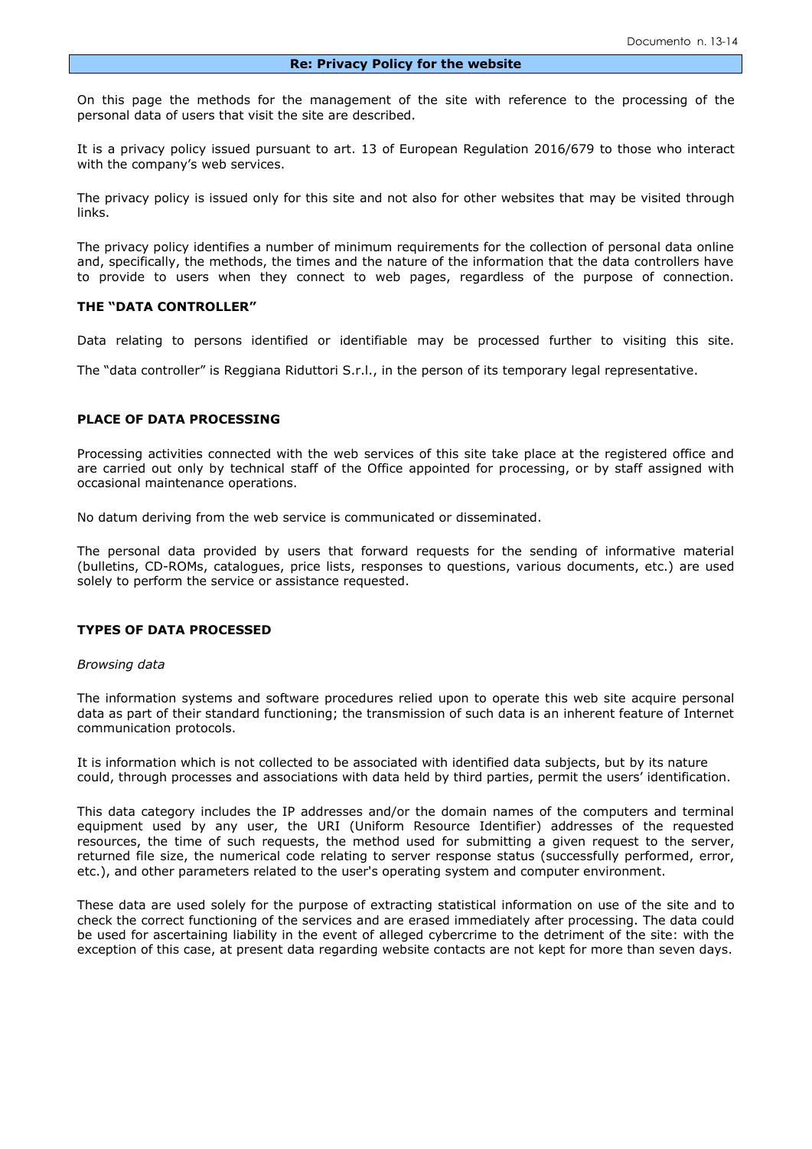On this page the methods for the management of the site with reference to the processing of the personal data of users that visit the site are described.

It is a privacy policy issued pursuant to [art. 13 of European Regulation](http://bach.drt.garanteprivacy.it/garante/doc.jsp?ID=722132#art_13) 2016/679 to those who interact with the company's web services.

The privacy policy is issued only for this site and not also for other websites that may be visited through links.

The privacy policy identifies a number of minimum requirements for the collection of personal data online and, specifically, the methods, the times and the nature of the information that the data controllers have to provide to users when they connect to web pages, regardless of the purpose of connection.

#### **THE "DATA CONTROLLER"**

Data relating to persons identified or identifiable may be processed further to visiting this site.

The "data controller" is Reggiana Riduttori S.r.l., in the person of its temporary legal representative.

#### **PLACE OF DATA PROCESSING**

Processing activities connected with the web services of this site take place at the registered office and are carried out only by technical staff of the Office appointed for processing, or by staff assigned with occasional maintenance operations.

No datum deriving from the web service is communicated or disseminated.

The personal data provided by users that forward requests for the sending of informative material (bulletins, CD-ROMs, catalogues, price lists, responses to questions, various documents, etc.) are used solely to perform the service or assistance requested.

#### **TYPES OF DATA PROCESSED**

#### *Browsing data*

The information systems and software procedures relied upon to operate this web site acquire personal data as part of their standard functioning; the transmission of such data is an inherent feature of Internet communication protocols.

It is information which is not collected to be associated with identified data subjects, but by its nature could, through processes and associations with data held by third parties, permit the users' identification.

This data category includes the IP addresses and/or the domain names of the computers and terminal equipment used by any user, the URI (Uniform Resource Identifier) addresses of the requested resources, the time of such requests, the method used for submitting a given request to the server, returned file size, the numerical code relating to server response status (successfully performed, error, etc.), and other parameters related to the user's operating system and computer environment.

These data are used solely for the purpose of extracting statistical information on use of the site and to check the correct functioning of the services and are erased immediately after processing. The data could be used for ascertaining liability in the event of alleged cybercrime to the detriment of the site: with the exception of this case, at present data regarding website contacts are not kept for more than seven days.